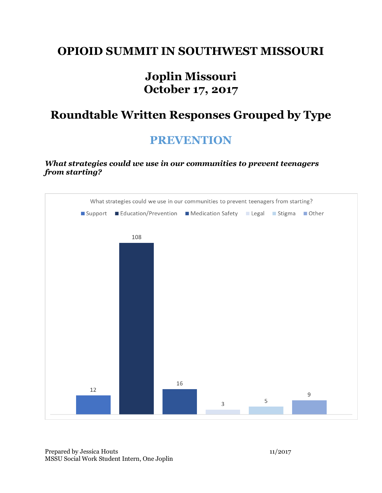#### **OPIOID SUMMIT IN SOUTHWEST MISSOURI**

## **Joplin Missouri October 17, 2017**

## **Roundtable Written Responses Grouped by Type**

#### **PREVENTION**

*What strategies could we use in our communities to prevent teenagers from starting?*

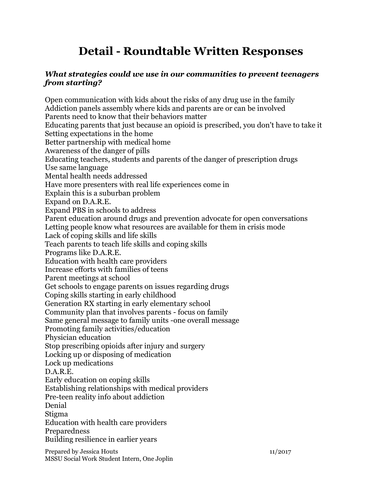# **Detail - Roundtable Written Responses**

#### *What strategies could we use in our communities to prevent teenagers from starting?*

Open communication with kids about the risks of any drug use in the family Addiction panels assembly where kids and parents are or can be involved Parents need to know that their behaviors matter Educating parents that just because an opioid is prescribed, you don't have to take it Setting expectations in the home Better partnership with medical home Awareness of the danger of pills Educating teachers, students and parents of the danger of prescription drugs Use same language Mental health needs addressed Have more presenters with real life experiences come in Explain this is a suburban problem Expand on D.A.R.E. Expand PBS in schools to address Parent education around drugs and prevention advocate for open conversations Letting people know what resources are available for them in crisis mode Lack of coping skills and life skills Teach parents to teach life skills and coping skills Programs like D.A.R.E. Education with health care providers Increase efforts with families of teens Parent meetings at school Get schools to engage parents on issues regarding drugs Coping skills starting in early childhood Generation RX starting in early elementary school Community plan that involves parents - focus on family Same general message to family units -one overall message Promoting family activities/education Physician education Stop prescribing opioids after injury and surgery Locking up or disposing of medication Lock up medications D.A.R.E. Early education on coping skills Establishing relationships with medical providers Pre-teen reality info about addiction Denial Stigma Education with health care providers Preparedness Building resilience in earlier years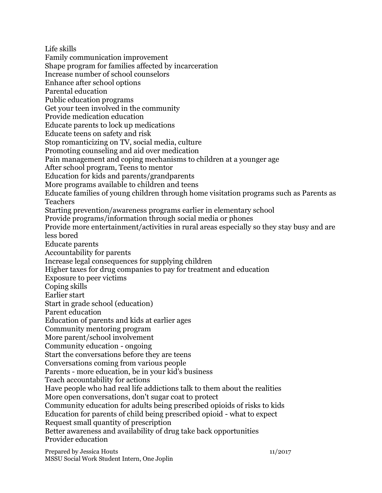Life skills Family communication improvement Shape program for families affected by incarceration Increase number of school counselors Enhance after school options Parental education Public education programs Get your teen involved in the community Provide medication education Educate parents to lock up medications Educate teens on safety and risk Stop romanticizing on TV, social media, culture Promoting counseling and aid over medication Pain management and coping mechanisms to children at a younger age After school program, Teens to mentor Education for kids and parents/grandparents More programs available to children and teens Educate families of young children through home visitation programs such as Parents as Teachers Starting prevention/awareness programs earlier in elementary school Provide programs/information through social media or phones Provide more entertainment/activities in rural areas especially so they stay busy and are less bored Educate parents Accountability for parents Increase legal consequences for supplying children Higher taxes for drug companies to pay for treatment and education Exposure to peer victims Coping skills Earlier start Start in grade school (education) Parent education Education of parents and kids at earlier ages Community mentoring program More parent/school involvement Community education - ongoing Start the conversations before they are teens Conversations coming from various people Parents - more education, be in your kid's business Teach accountability for actions Have people who had real life addictions talk to them about the realities More open conversations, don't sugar coat to protect Community education for adults being prescribed opioids of risks to kids Education for parents of child being prescribed opioid - what to expect Request small quantity of prescription Better awareness and availability of drug take back opportunities Provider education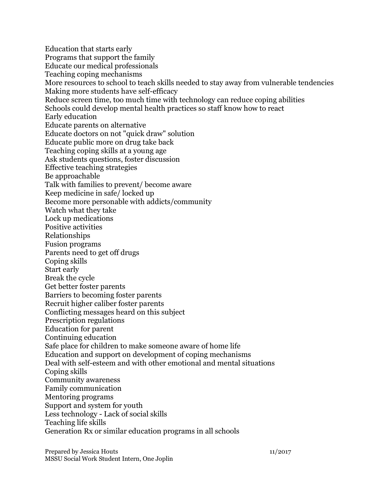Education that starts early Programs that support the family Educate our medical professionals Teaching coping mechanisms More resources to school to teach skills needed to stay away from vulnerable tendencies Making more students have self-efficacy Reduce screen time, too much time with technology can reduce coping abilities Schools could develop mental health practices so staff know how to react Early education Educate parents on alternative Educate doctors on not "quick draw" solution Educate public more on drug take back Teaching coping skills at a young age Ask students questions, foster discussion Effective teaching strategies Be approachable Talk with families to prevent/ become aware Keep medicine in safe/ locked up Become more personable with addicts/community Watch what they take Lock up medications Positive activities Relationships Fusion programs Parents need to get off drugs Coping skills Start early Break the cycle Get better foster parents Barriers to becoming foster parents Recruit higher caliber foster parents Conflicting messages heard on this subject Prescription regulations Education for parent Continuing education Safe place for children to make someone aware of home life Education and support on development of coping mechanisms Deal with self-esteem and with other emotional and mental situations Coping skills Community awareness Family communication Mentoring programs Support and system for youth Less technology - Lack of social skills Teaching life skills Generation Rx or similar education programs in all schools